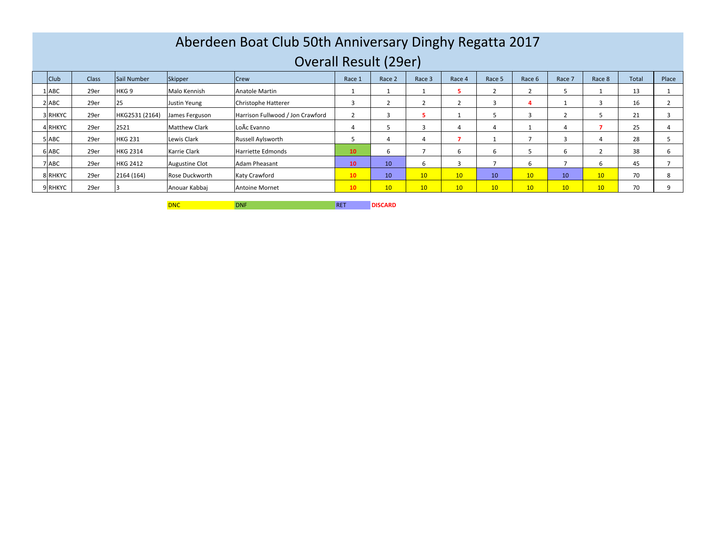## Aberdeen Boat Club 50th Anniversary Dinghy Regatta 2017Overall Result (29er)

| ___<br>__      |       |                  |                       |                                  |        |                 |                 |        |        |                 |                 |        |       |        |
|----------------|-------|------------------|-----------------------|----------------------------------|--------|-----------------|-----------------|--------|--------|-----------------|-----------------|--------|-------|--------|
| Club           | Class | Sail Number      | Skipper               | <b>Crew</b>                      | Race 1 | Race 2          | Race 3          | Race 4 | Race 5 | Race 6          | Race 7          | Race 8 | Total | Place  |
| <b>ABC</b>     | 29er  | HKG <sub>9</sub> | Malo Kennish          | Anatole Martin                   |        |                 |                 |        |        |                 |                 |        | 13    |        |
| <b>ABC</b>     | 29er  | -45              | Justin Yeung          | Christophe Hatterer              |        |                 |                 |        |        |                 |                 |        | 16    |        |
| <b>RHKYC</b>   | 29er  | HKG2531 (2164)   | James Ferguson        | Harrison Fullwood / Jon Crawford |        |                 |                 |        |        |                 |                 |        | 21    |        |
| <b>RHKYC</b>   | 29er  | 2521             | <b>Matthew Clark</b>  | LoÃc Evanno                      |        |                 |                 |        |        |                 |                 |        | 25    |        |
| <b>ABC</b>     | 29er  | <b>HKG 231</b>   | Lewis Clark           | Russell Aylsworth                |        |                 |                 |        |        |                 |                 |        | 28    |        |
| 5 ABC          | 29er  | <b>HKG 2314</b>  | Karrie Clark          | Harriette Edmonds                | 10     | n               |                 |        |        |                 | b               |        | 38    |        |
| ABC            | 29er  | <b>HKG 2412</b>  | <b>Augustine Clot</b> | Adam Pheasant                    | 10     | 10 <sup>1</sup> |                 |        |        | b               |                 | b      | 45    |        |
| <b>BIRHKYC</b> | 29er  | 2164 (164)       | Rose Duckworth        | Katy Crawford                    | 10     | 10              | 10 <sup>1</sup> | 10     | 10     | 10 <sup>°</sup> | 10 <sup>1</sup> | 10     | 70    | $\sim$ |
| <b>RHKYC</b>   | 29er  |                  | Anouar Kabbai         | <b>Antoine Mornet</b>            | 10     | 10              | 10 <sup>°</sup> | 10     | 10     | 10 <sup>°</sup> | 10 <sup>°</sup> | 10     | 70    |        |

DNC DNF RET**DISCARD**